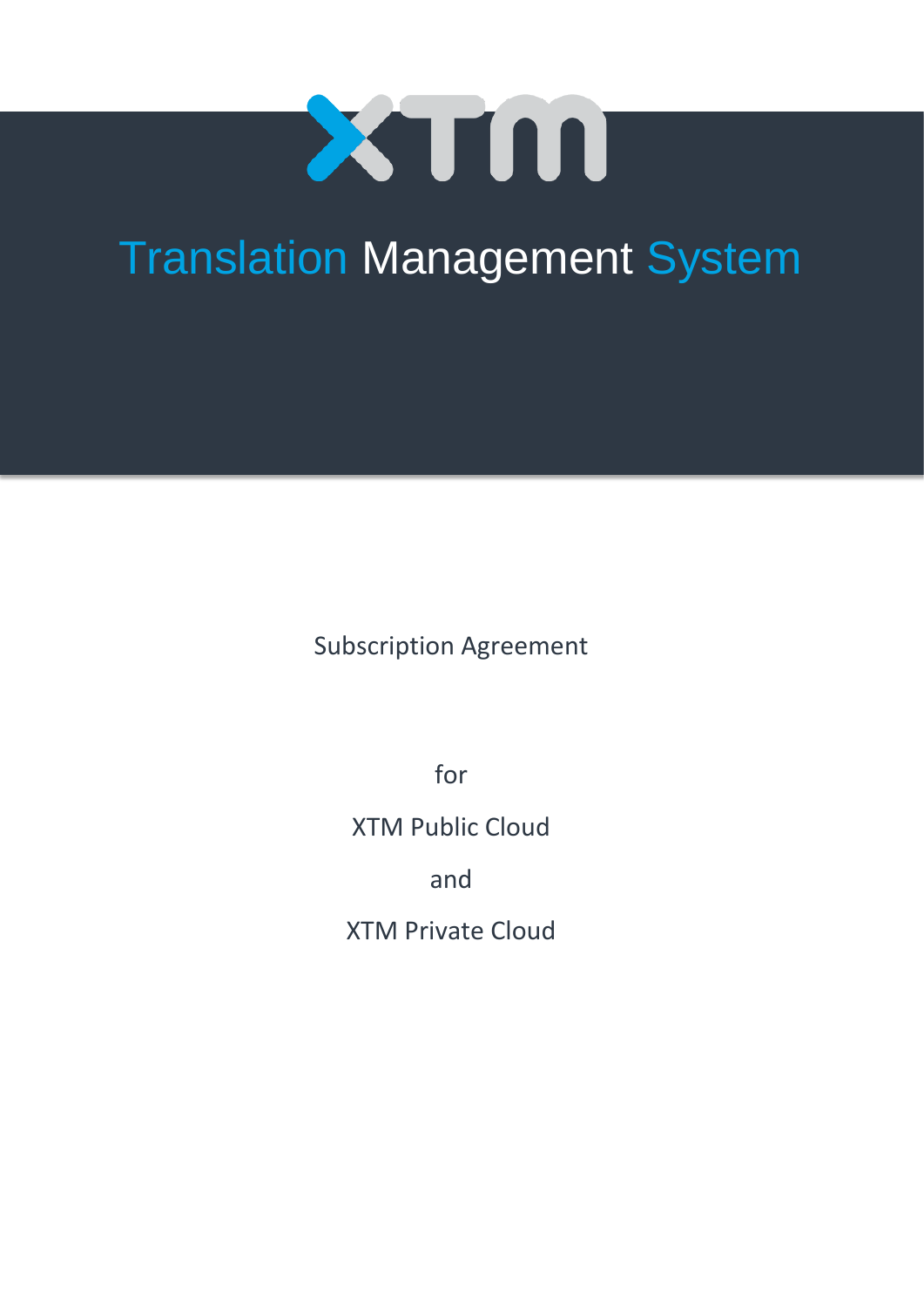

# Translation Management System

Subscription Agreement

for

XTM Public Cloud

and

XTM Private Cloud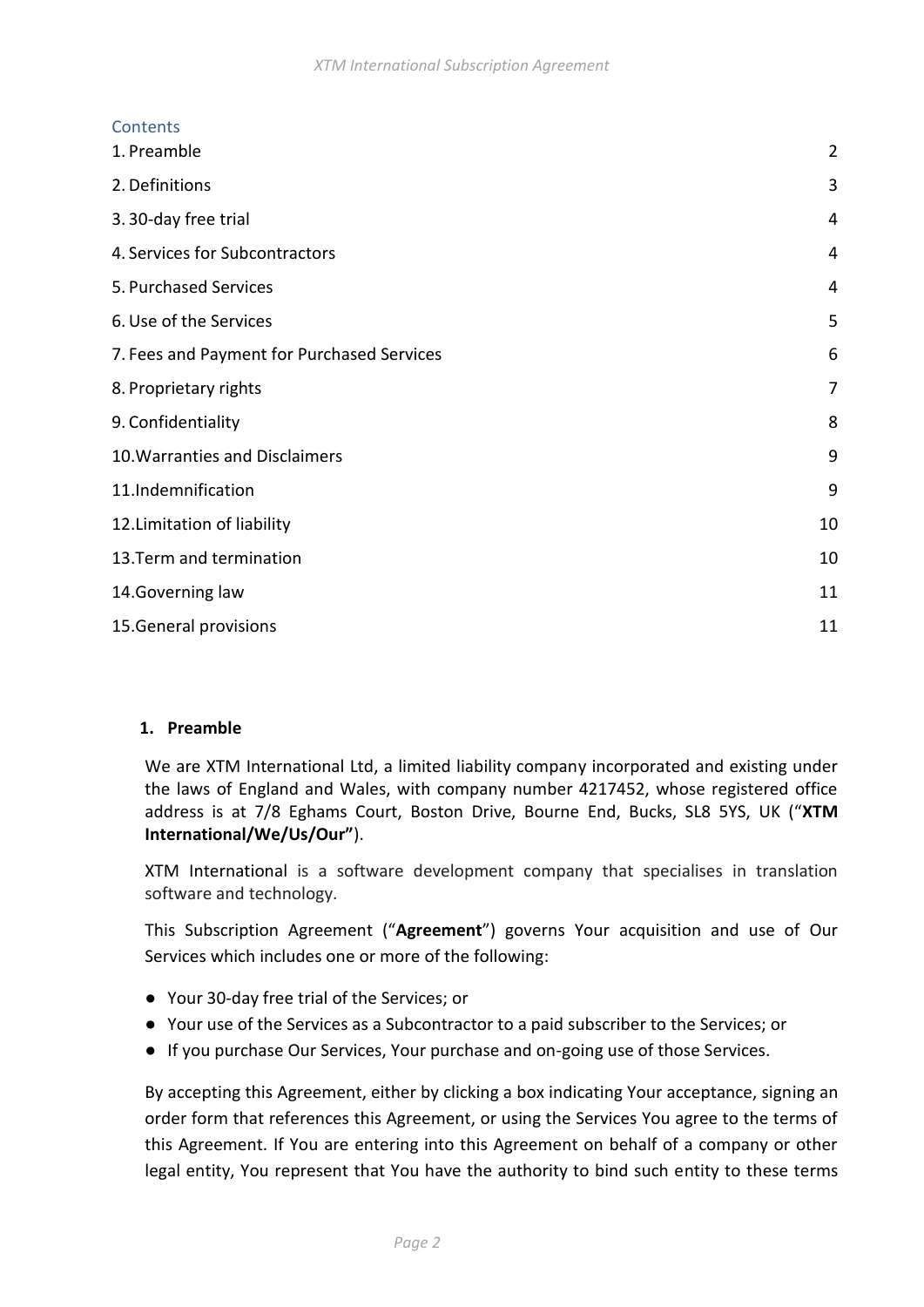# **Contents**

| 1. Preamble                                | $\overline{2}$ |
|--------------------------------------------|----------------|
| 2. Definitions                             | 3              |
| 3.30-day free trial                        | 4              |
| 4. Services for Subcontractors             | 4              |
| 5. Purchased Services                      | 4              |
| 6. Use of the Services                     | 5              |
| 7. Fees and Payment for Purchased Services | 6              |
| 8. Proprietary rights                      | 7              |
| 9. Confidentiality                         | 8              |
| 10. Warranties and Disclaimers             | 9              |
| 11.Indemnification                         | 9              |
| 12. Limitation of liability                | 10             |
| 13. Term and termination                   | 10             |
| 14. Governing law                          | 11             |
| 15. General provisions                     | 11             |

## <span id="page-1-0"></span>**1. Preamble**

We are XTM International Ltd, a limited liability company incorporated and existing under the laws of England and Wales, with company number 4217452, whose registered office address is at 7/8 Eghams Court, Boston Drive, Bourne End, Bucks, SL8 5YS, UK ("**XTM International/We/Us/Our"**).

XTM International is a software development company that specialises in translation software and technology.

This Subscription Agreement ("**Agreement**") governs Your acquisition and use of Our Services which includes one or more of the following:

- Your 30-day free trial of the Services; or
- Your use of the Services as a Subcontractor to a paid subscriber to the Services; or
- If you purchase Our Services, Your purchase and on-going use of those Services.

By accepting this Agreement, either by clicking a box indicating Your acceptance, signing an order form that references this Agreement, or using the Services You agree to the terms of this Agreement. If You are entering into this Agreement on behalf of a company or other legal entity, You represent that You have the authority to bind such entity to these terms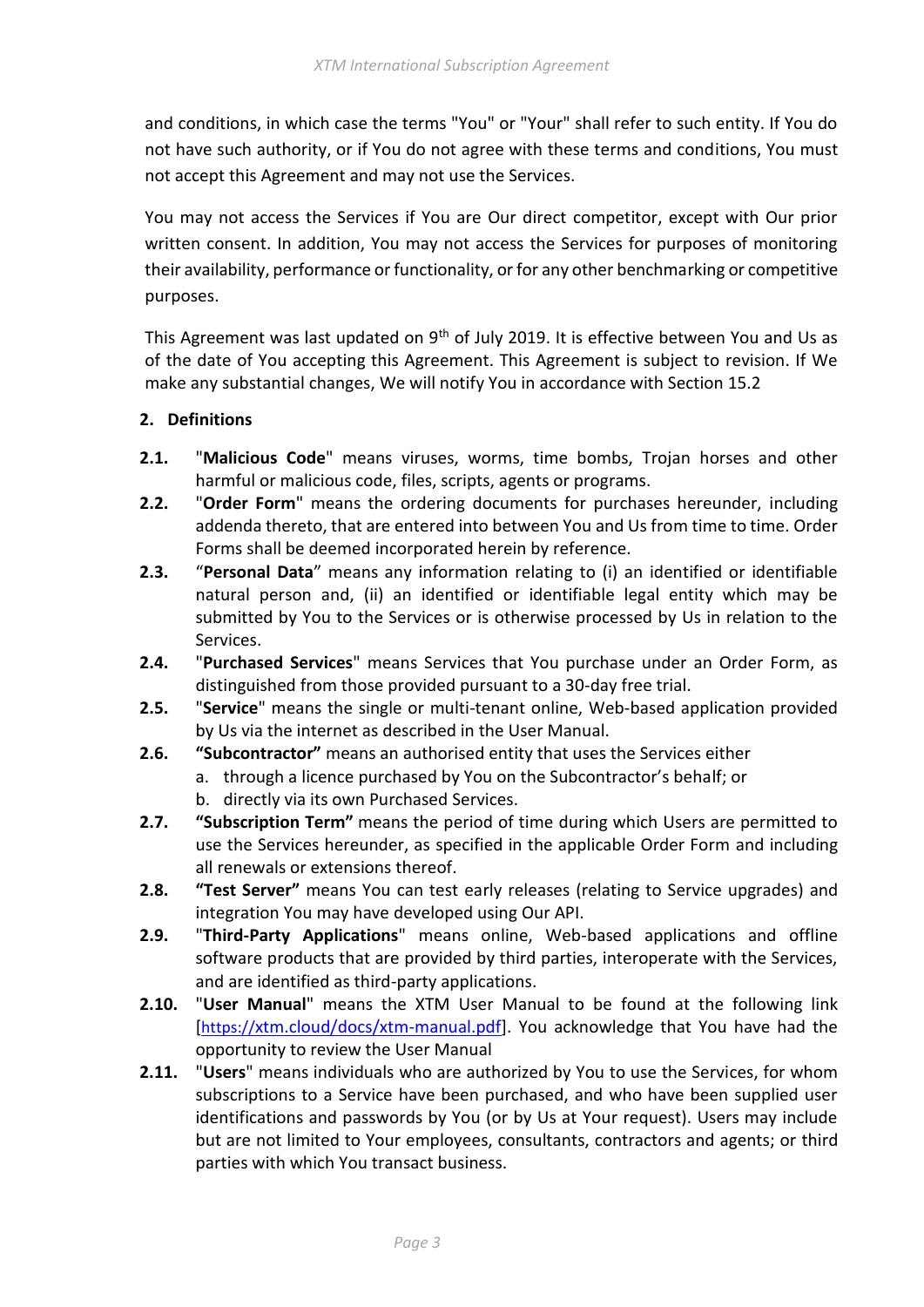and conditions, in which case the terms "You" or "Your" shall refer to such entity. If You do not have such authority, or if You do not agree with these terms and conditions, You must not accept this Agreement and may not use the Services.

You may not access the Services if You are Our direct competitor, except with Our prior written consent. In addition, You may not access the Services for purposes of monitoring their availability, performance or functionality, or for any other benchmarking or competitive purposes.

This Agreement was last updated on 9<sup>th</sup> of July 2019. It is effective between You and Us as of the date of You accepting this Agreement. This Agreement is subject to revision. If We make any substantial changes, We will notify You in accordance with Section 15.2

## <span id="page-2-0"></span>**2. Definitions**

- **2.1.** "**Malicious Code**" means viruses, worms, time bombs, Trojan horses and other harmful or malicious code, files, scripts, agents or programs.
- **2.2.** "**Order Form**" means the ordering documents for purchases hereunder, including addenda thereto, that are entered into between You and Us from time to time. Order Forms shall be deemed incorporated herein by reference.
- **2.3.** "**Personal Data**" means any information relating to (i) an identified or identifiable natural person and, (ii) an identified or identifiable legal entity which may be submitted by You to the Services or is otherwise processed by Us in relation to the Services.
- **2.4.** "**Purchased Services**" means Services that You purchase under an Order Form, as distinguished from those provided pursuant to a 30-day free trial.
- **2.5.** "**Service**" means the single or multi-tenant online, Web-based application provided by Us via the internet as described in the User Manual.
- **2.6. "Subcontractor"** means an authorised entity that uses the Services either
	- a. through a licence purchased by You on the Subcontractor's behalf; or
		- b. directly via its own Purchased Services.
- **2.7. "Subscription Term"** means the period of time during which Users are permitted to use the Services hereunder, as specified in the applicable Order Form and including all renewals or extensions thereof.
- **2.8. "Test Server"** means You can test early releases (relating to Service upgrades) and integration You may have developed using Our API.
- **2.9.** "**Third-Party Applications**" means online, Web-based applications and offline software products that are provided by third parties, interoperate with the Services, and are identified as third-party applications.
- **2.10.** "**User Manual**" means the XTM User Manual to be found at the following link [[https://](https://xtm.cloud/docs/xtm-manual.pdf)[xtm.cloud/docs/xtm-manual.pdf\]](https://xtm.cloud/docs/xtm-manual.pdf). You acknowledge that You have had the opportunity to review the User Manual
- **2.11.** "**Users**" means individuals who are authorized by You to use the Services, for whom subscriptions to a Service have been purchased, and who have been supplied user identifications and passwords by You (or by Us at Your request). Users may include but are not limited to Your employees, consultants, contractors and agents; or third parties with which You transact business.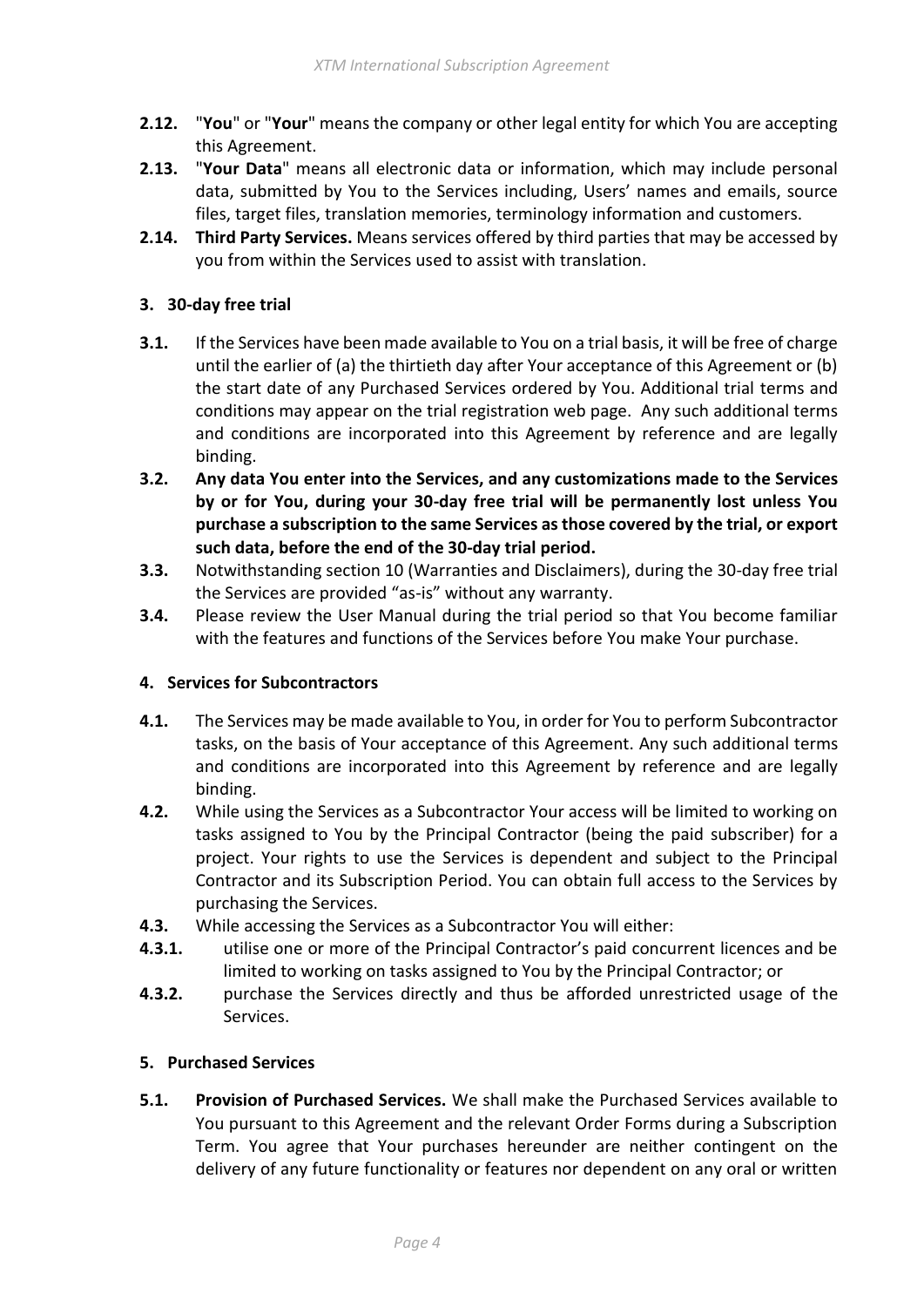- **2.12.** "**You**" or "**Your**" means the company or other legal entity for which You are accepting this Agreement.
- **2.13.** "**Your Data**" means all electronic data or information, which may include personal data, submitted by You to the Services including, Users' names and emails, source files, target files, translation memories, terminology information and customers.
- **2.14. Third Party Services.** Means services offered by third parties that may be accessed by you from within the Services used to assist with translation.

## <span id="page-3-0"></span>**3. 30-day free trial**

- **3.1.** If the Services have been made available to You on a trial basis, it will be free of charge until the earlier of (a) the thirtieth day after Your acceptance of this Agreement or (b) the start date of any Purchased Services ordered by You. Additional trial terms and conditions may appear on the trial registration web page. Any such additional terms and conditions are incorporated into this Agreement by reference and are legally binding.
- **3.2. Any data You enter into the Services, and any customizations made to the Services by or for You, during your 30-day free trial will be permanently lost unless You purchase a subscription to the same Services as those covered by the trial, or export such data, before the end of the 30-day trial period.**
- **3.3.** Notwithstanding section 10 (Warranties and Disclaimers), during the 30-day free trial the Services are provided "as-is" without any warranty.
- **3.4.** Please review the User Manual during the trial period so that You become familiar with the features and functions of the Services before You make Your purchase.

## <span id="page-3-1"></span>**4. Services for Subcontractors**

- **4.1.** The Services may be made available to You, in order for You to perform Subcontractor tasks, on the basis of Your acceptance of this Agreement. Any such additional terms and conditions are incorporated into this Agreement by reference and are legally binding.
- **4.2.** While using the Services as a Subcontractor Your access will be limited to working on tasks assigned to You by the Principal Contractor (being the paid subscriber) for a project. Your rights to use the Services is dependent and subject to the Principal Contractor and its Subscription Period. You can obtain full access to the Services by purchasing the Services.
- **4.3.** While accessing the Services as a Subcontractor You will either:
- **4.3.1.** utilise one or more of the Principal Contractor's paid concurrent licences and be limited to working on tasks assigned to You by the Principal Contractor; or
- **4.3.2.** purchase the Services directly and thus be afforded unrestricted usage of the Services.

### <span id="page-3-2"></span>**5. Purchased Services**

**5.1. Provision of Purchased Services.** We shall make the Purchased Services available to You pursuant to this Agreement and the relevant Order Forms during a Subscription Term. You agree that Your purchases hereunder are neither contingent on the delivery of any future functionality or features nor dependent on any oral or written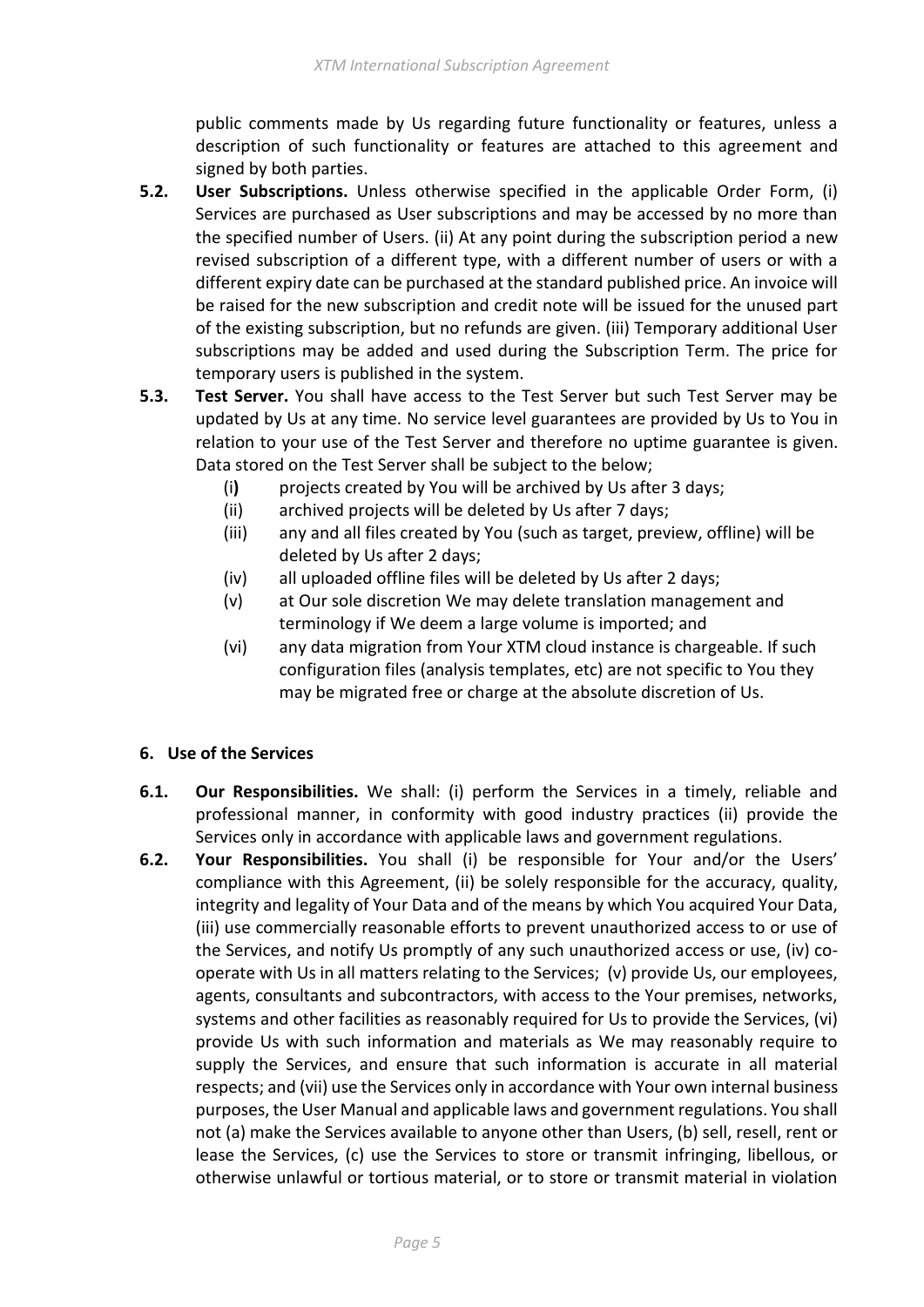public comments made by Us regarding future functionality or features, unless a description of such functionality or features are attached to this agreement and signed by both parties.

- **5.2. User Subscriptions.** Unless otherwise specified in the applicable Order Form, (i) Services are purchased as User subscriptions and may be accessed by no more than the specified number of Users. (ii) At any point during the subscription period a new revised subscription of a different type, with a different number of users or with a different expiry date can be purchased at the standard published price. An invoice will be raised for the new subscription and credit note will be issued for the unused part of the existing subscription, but no refunds are given. (iii) Temporary additional User subscriptions may be added and used during the Subscription Term. The price for temporary users is published in the system.
- **5.3. Test Server.** You shall have access to the Test Server but such Test Server may be updated by Us at any time. No service level guarantees are provided by Us to You in relation to your use of the Test Server and therefore no uptime guarantee is given. Data stored on the Test Server shall be subject to the below;
	- (i**)** projects created by You will be archived by Us after 3 days;
	- (ii) archived projects will be deleted by Us after 7 days;
	- (iii) any and all files created by You (such as target, preview, offline) will be deleted by Us after 2 days;
	- (iv) all uploaded offline files will be deleted by Us after 2 days;
	- (v) at Our sole discretion We may delete translation management and terminology if We deem a large volume is imported; and
	- (vi) any data migration from Your XTM cloud instance is chargeable. If such configuration files (analysis templates, etc) are not specific to You they may be migrated free or charge at the absolute discretion of Us.

### <span id="page-4-0"></span>**6. Use of the Services**

- **6.1. Our Responsibilities.** We shall: (i) perform the Services in a timely, reliable and professional manner, in conformity with good industry practices (ii) provide the Services only in accordance with applicable laws and government regulations.
- **6.2. Your Responsibilities.** You shall (i) be responsible for Your and/or the Users' compliance with this Agreement, (ii) be solely responsible for the accuracy, quality, integrity and legality of Your Data and of the means by which You acquired Your Data, (iii) use commercially reasonable efforts to prevent unauthorized access to or use of the Services, and notify Us promptly of any such unauthorized access or use, (iv) cooperate with Us in all matters relating to the Services; (v) provide Us, our employees, agents, consultants and subcontractors, with access to the Your premises, networks, systems and other facilities as reasonably required for Us to provide the Services, (vi) provide Us with such information and materials as We may reasonably require to supply the Services, and ensure that such information is accurate in all material respects; and (vii) use the Services only in accordance with Your own internal business purposes, the User Manual and applicable laws and government regulations. You shall not (a) make the Services available to anyone other than Users, (b) sell, resell, rent or lease the Services, (c) use the Services to store or transmit infringing, libellous, or otherwise unlawful or tortious material, or to store or transmit material in violation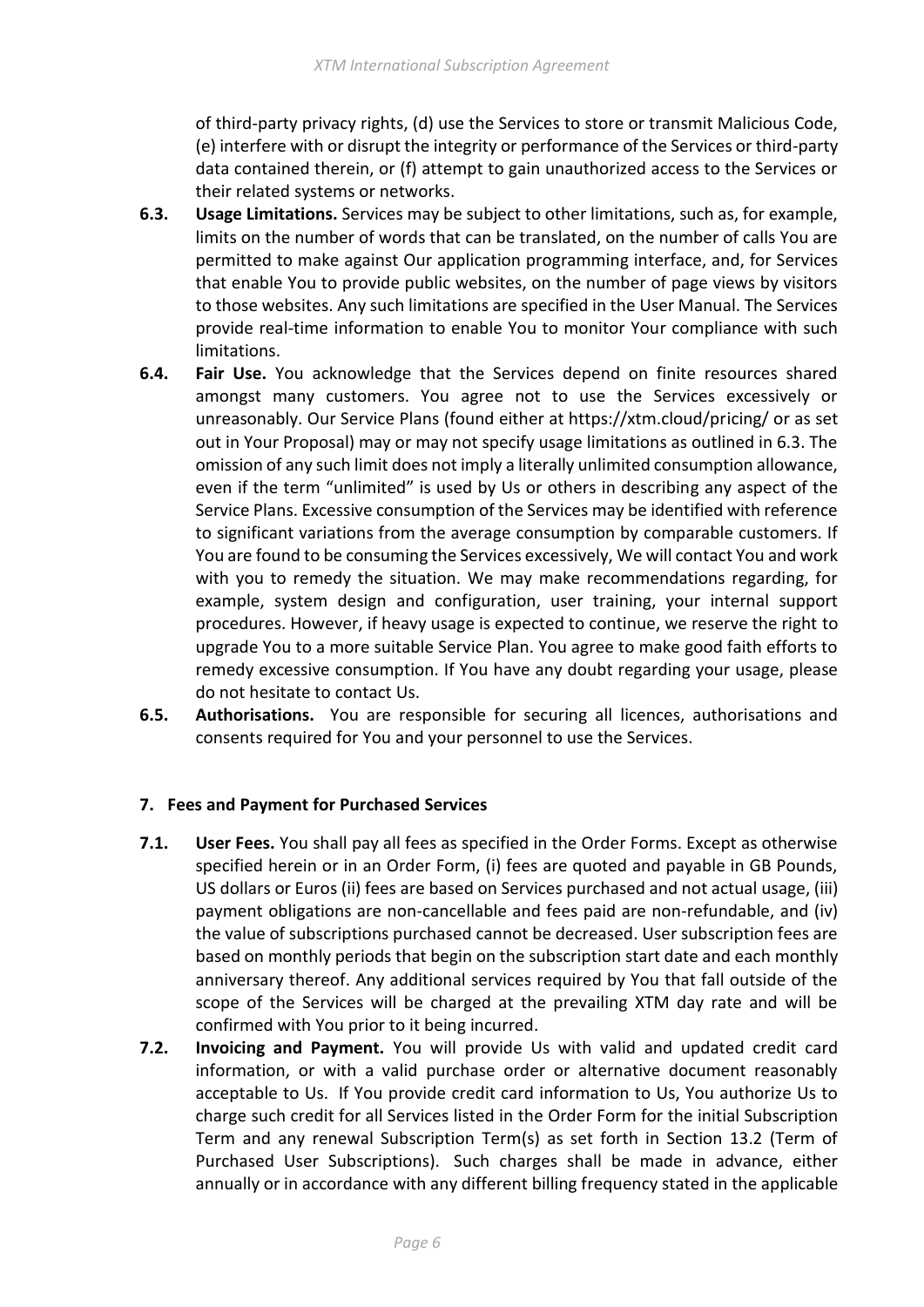of third-party privacy rights, (d) use the Services to store or transmit Malicious Code, (e) interfere with or disrupt the integrity or performance of the Services or third-party data contained therein, or (f) attempt to gain unauthorized access to the Services or their related systems or networks.

- **6.3. Usage Limitations.** Services may be subject to other limitations, such as, for example, limits on the number of words that can be translated, on the number of calls You are permitted to make against Our application programming interface, and, for Services that enable You to provide public websites, on the number of page views by visitors to those websites. Any such limitations are specified in the User Manual. The Services provide real-time information to enable You to monitor Your compliance with such limitations.
- **6.4. Fair Use.** You acknowledge that the Services depend on finite resources shared amongst many customers. You agree not to use the Services excessively or unreasonably. Our Service Plans (found either at https://xtm.cloud/pricing/ or as set out in Your Proposal) may or may not specify usage limitations as outlined in 6.3. The omission of any such limit does not imply a literally unlimited consumption allowance, even if the term "unlimited" is used by Us or others in describing any aspect of the Service Plans. Excessive consumption of the Services may be identified with reference to significant variations from the average consumption by comparable customers. If You are found to be consuming the Services excessively, We will contact You and work with you to remedy the situation. We may make recommendations regarding, for example, system design and configuration, user training, your internal support procedures. However, if heavy usage is expected to continue, we reserve the right to upgrade You to a more suitable Service Plan. You agree to make good faith efforts to remedy excessive consumption. If You have any doubt regarding your usage, please do not hesitate to contact Us.
- <span id="page-5-0"></span>**6.5. Authorisations.** You are responsible for securing all licences, authorisations and consents required for You and your personnel to use the Services.

## **7. Fees and Payment for Purchased Services**

- **7.1. User Fees.** You shall pay all fees as specified in the Order Forms. Except as otherwise specified herein or in an Order Form, (i) fees are quoted and payable in GB Pounds, US dollars or Euros (ii) fees are based on Services purchased and not actual usage, (iii) payment obligations are non-cancellable and fees paid are non-refundable, and (iv) the value of subscriptions purchased cannot be decreased. User subscription fees are based on monthly periods that begin on the subscription start date and each monthly anniversary thereof. Any additional services required by You that fall outside of the scope of the Services will be charged at the prevailing XTM day rate and will be confirmed with You prior to it being incurred.
- **7.2. Invoicing and Payment.** You will provide Us with valid and updated credit card information, or with a valid purchase order or alternative document reasonably acceptable to Us. If You provide credit card information to Us, You authorize Us to charge such credit for all Services listed in the Order Form for the initial Subscription Term and any renewal Subscription Term(s) as set forth in Section 13.2 (Term of Purchased User Subscriptions). Such charges shall be made in advance, either annually or in accordance with any different billing frequency stated in the applicable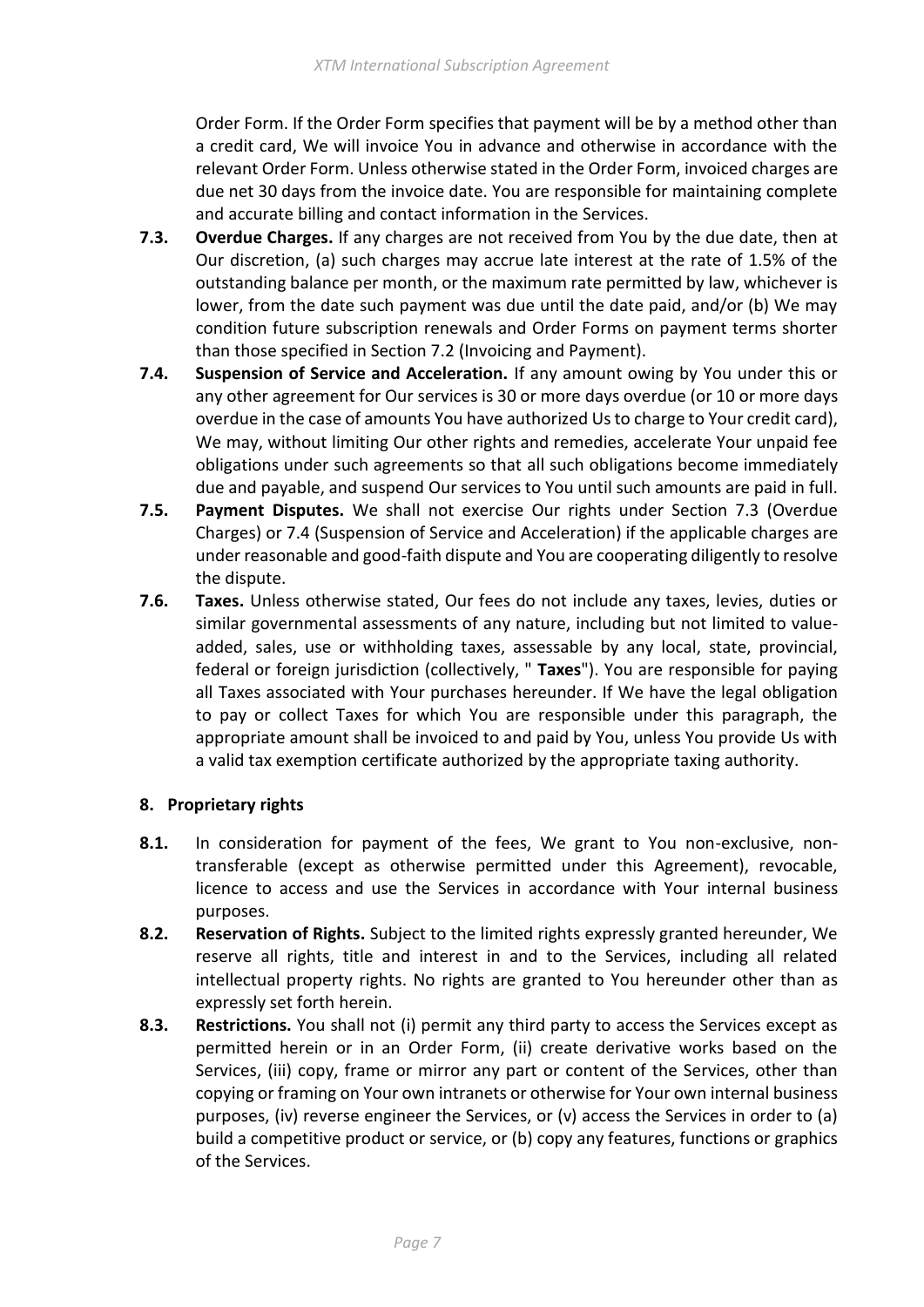Order Form. If the Order Form specifies that payment will be by a method other than a credit card, We will invoice You in advance and otherwise in accordance with the relevant Order Form. Unless otherwise stated in the Order Form, invoiced charges are due net 30 days from the invoice date. You are responsible for maintaining complete and accurate billing and contact information in the Services.

- **7.3. Overdue Charges.** If any charges are not received from You by the due date, then at Our discretion, (a) such charges may accrue late interest at the rate of 1.5% of the outstanding balance per month, or the maximum rate permitted by law, whichever is lower, from the date such payment was due until the date paid, and/or (b) We may condition future subscription renewals and Order Forms on payment terms shorter than those specified in Section 7.2 (Invoicing and Payment).
- **7.4. Suspension of Service and Acceleration.** If any amount owing by You under this or any other agreement for Our services is 30 or more days overdue (or 10 or more days overdue in the case of amounts You have authorized Us to charge to Your credit card), We may, without limiting Our other rights and remedies, accelerate Your unpaid fee obligations under such agreements so that all such obligations become immediately due and payable, and suspend Our services to You until such amounts are paid in full.
- **7.5. Payment Disputes.** We shall not exercise Our rights under Section 7.3 (Overdue Charges) or 7.4 (Suspension of Service and Acceleration) if the applicable charges are under reasonable and good-faith dispute and You are cooperating diligently to resolve the dispute.
- **7.6. Taxes.** Unless otherwise stated, Our fees do not include any taxes, levies, duties or similar governmental assessments of any nature, including but not limited to valueadded, sales, use or withholding taxes, assessable by any local, state, provincial, federal or foreign jurisdiction (collectively, " **Taxes**"). You are responsible for paying all Taxes associated with Your purchases hereunder. If We have the legal obligation to pay or collect Taxes for which You are responsible under this paragraph, the appropriate amount shall be invoiced to and paid by You, unless You provide Us with a valid tax exemption certificate authorized by the appropriate taxing authority.

## <span id="page-6-0"></span>**8. Proprietary rights**

- **8.1.** In consideration for payment of the fees, We grant to You non-exclusive, nontransferable (except as otherwise permitted under this Agreement), revocable, licence to access and use the Services in accordance with Your internal business purposes.
- **8.2. Reservation of Rights.** Subject to the limited rights expressly granted hereunder, We reserve all rights, title and interest in and to the Services, including all related intellectual property rights. No rights are granted to You hereunder other than as expressly set forth herein.
- **8.3. Restrictions.** You shall not (i) permit any third party to access the Services except as permitted herein or in an Order Form, (ii) create derivative works based on the Services, (iii) copy, frame or mirror any part or content of the Services, other than copying or framing on Your own intranets or otherwise for Your own internal business purposes, (iv) reverse engineer the Services, or (v) access the Services in order to (a) build a competitive product or service, or (b) copy any features, functions or graphics of the Services.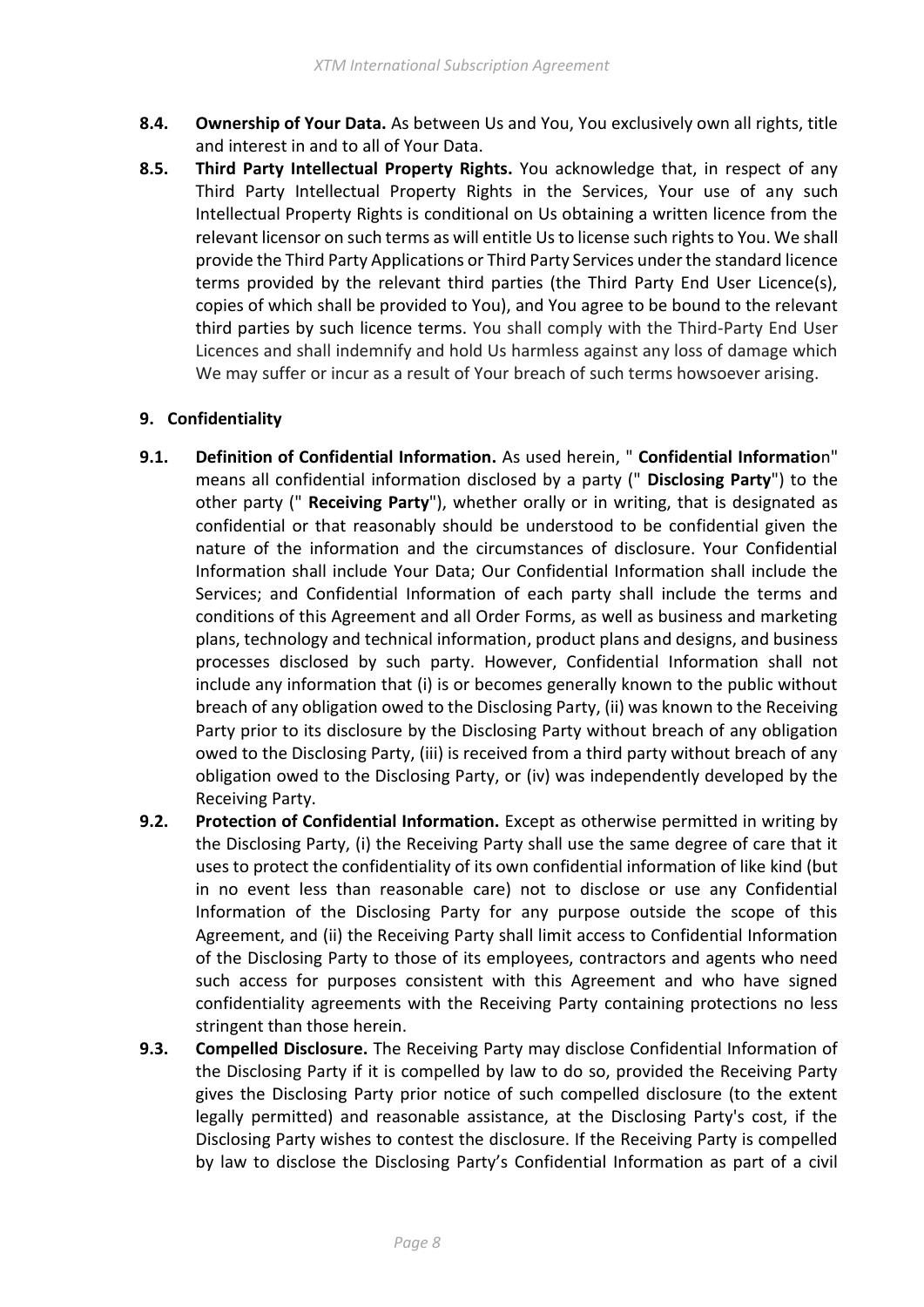- **8.4. Ownership of Your Data.** As between Us and You, You exclusively own all rights, title and interest in and to all of Your Data.
- **8.5. Third Party Intellectual Property Rights.** You acknowledge that, in respect of any Third Party Intellectual Property Rights in the Services, Your use of any such Intellectual Property Rights is conditional on Us obtaining a written licence from the relevant licensor on such terms as will entitle Us to license such rights to You. We shall provide the Third Party Applications or Third Party Services under the standard licence terms provided by the relevant third parties (the Third Party End User Licence(s), copies of which shall be provided to You), and You agree to be bound to the relevant third parties by such licence terms. You shall comply with the Third-Party End User Licences and shall indemnify and hold Us harmless against any loss of damage which We may suffer or incur as a result of Your breach of such terms howsoever arising.

# <span id="page-7-0"></span>**9. Confidentiality**

- **9.1. Definition of Confidential Information.** As used herein, " **Confidential Informatio**n" means all confidential information disclosed by a party (" **Disclosing Party**") to the other party (" **Receiving Party**"), whether orally or in writing, that is designated as confidential or that reasonably should be understood to be confidential given the nature of the information and the circumstances of disclosure. Your Confidential Information shall include Your Data; Our Confidential Information shall include the Services; and Confidential Information of each party shall include the terms and conditions of this Agreement and all Order Forms, as well as business and marketing plans, technology and technical information, product plans and designs, and business processes disclosed by such party. However, Confidential Information shall not include any information that (i) is or becomes generally known to the public without breach of any obligation owed to the Disclosing Party, (ii) was known to the Receiving Party prior to its disclosure by the Disclosing Party without breach of any obligation owed to the Disclosing Party, (iii) is received from a third party without breach of any obligation owed to the Disclosing Party, or (iv) was independently developed by the Receiving Party.
- **9.2. Protection of Confidential Information.** Except as otherwise permitted in writing by the Disclosing Party, (i) the Receiving Party shall use the same degree of care that it uses to protect the confidentiality of its own confidential information of like kind (but in no event less than reasonable care) not to disclose or use any Confidential Information of the Disclosing Party for any purpose outside the scope of this Agreement, and (ii) the Receiving Party shall limit access to Confidential Information of the Disclosing Party to those of its employees, contractors and agents who need such access for purposes consistent with this Agreement and who have signed confidentiality agreements with the Receiving Party containing protections no less stringent than those herein.
- **9.3. Compelled Disclosure.** The Receiving Party may disclose Confidential Information of the Disclosing Party if it is compelled by law to do so, provided the Receiving Party gives the Disclosing Party prior notice of such compelled disclosure (to the extent legally permitted) and reasonable assistance, at the Disclosing Party's cost, if the Disclosing Party wishes to contest the disclosure. If the Receiving Party is compelled by law to disclose the Disclosing Party's Confidential Information as part of a civil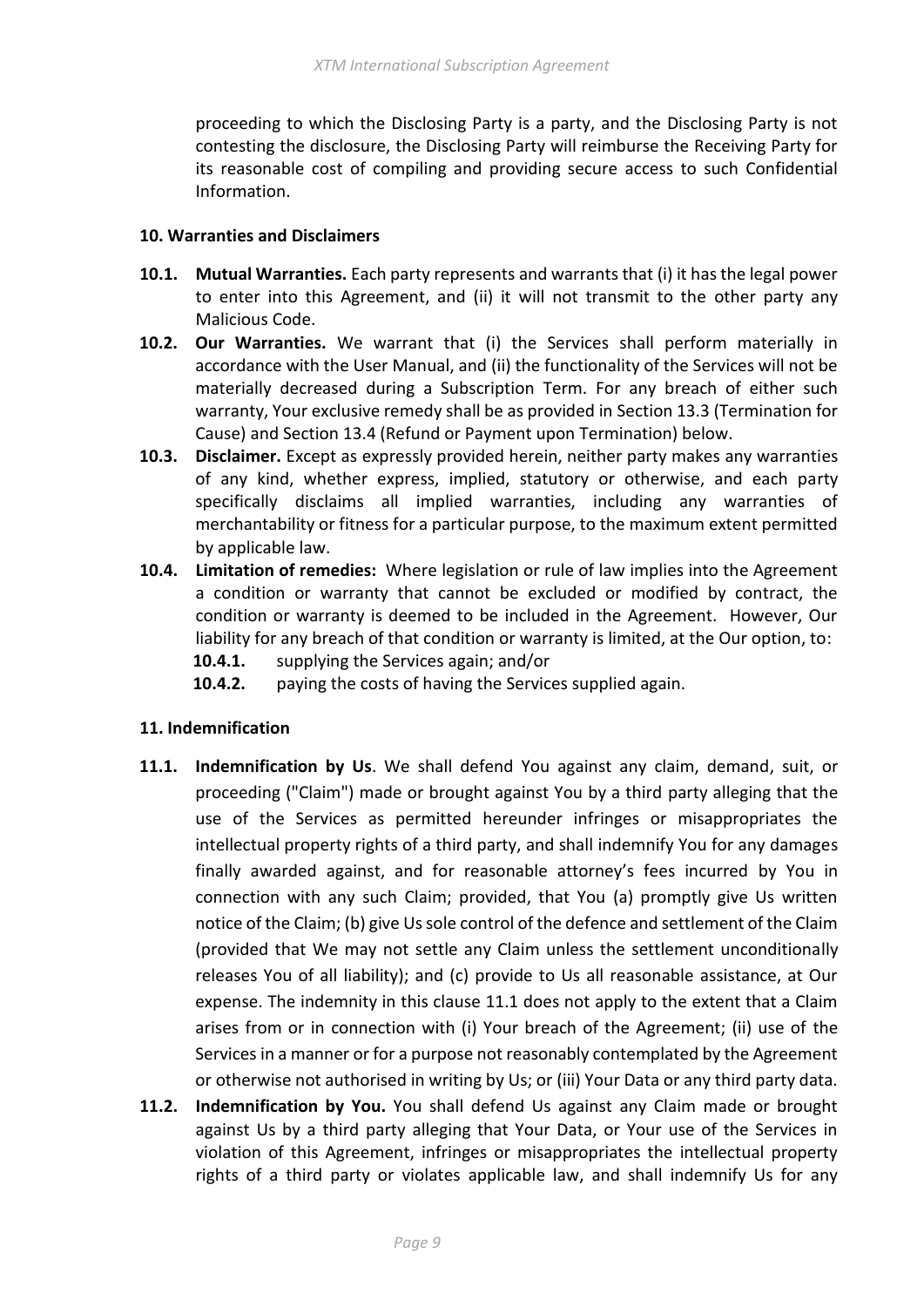proceeding to which the Disclosing Party is a party, and the Disclosing Party is not contesting the disclosure, the Disclosing Party will reimburse the Receiving Party for its reasonable cost of compiling and providing secure access to such Confidential Information.

### <span id="page-8-0"></span>**10. Warranties and Disclaimers**

- **10.1. Mutual Warranties.** Each party represents and warrants that (i) it has the legal power to enter into this Agreement, and (ii) it will not transmit to the other party any Malicious Code.
- **10.2. Our Warranties.** We warrant that (i) the Services shall perform materially in accordance with the User Manual, and (ii) the functionality of the Services will not be materially decreased during a Subscription Term. For any breach of either such warranty, Your exclusive remedy shall be as provided in Section 13.3 (Termination for Cause) and Section 13.4 (Refund or Payment upon Termination) below.
- **10.3. Disclaimer.** Except as expressly provided herein, neither party makes any warranties of any kind, whether express, implied, statutory or otherwise, and each party specifically disclaims all implied warranties, including any warranties of merchantability or fitness for a particular purpose, to the maximum extent permitted by applicable law.
- **10.4. Limitation of remedies:** Where legislation or rule of law implies into the Agreement a condition or warranty that cannot be excluded or modified by contract, the condition or warranty is deemed to be included in the Agreement. However, Our liability for any breach of that condition or warranty is limited, at the Our option, to:
	- **10.4.1.** supplying the Services again; and/or
	- **10.4.2.** paying the costs of having the Services supplied again.

### <span id="page-8-1"></span>**11. Indemnification**

- **11.1. Indemnification by Us**. We shall defend You against any claim, demand, suit, or proceeding ("Claim") made or brought against You by a third party alleging that the use of the Services as permitted hereunder infringes or misappropriates the intellectual property rights of a third party, and shall indemnify You for any damages finally awarded against, and for reasonable attorney's fees incurred by You in connection with any such Claim; provided, that You (a) promptly give Us written notice of the Claim; (b) give Us sole control of the defence and settlement of the Claim (provided that We may not settle any Claim unless the settlement unconditionally releases You of all liability); and (c) provide to Us all reasonable assistance, at Our expense. The indemnity in this clause 11.1 does not apply to the extent that a Claim arises from or in connection with (i) Your breach of the Agreement; (ii) use of the Services in a manner or for a purpose not reasonably contemplated by the Agreement or otherwise not authorised in writing by Us; or (iii) Your Data or any third party data.
- **11.2. Indemnification by You.** You shall defend Us against any Claim made or brought against Us by a third party alleging that Your Data, or Your use of the Services in violation of this Agreement, infringes or misappropriates the intellectual property rights of a third party or violates applicable law, and shall indemnify Us for any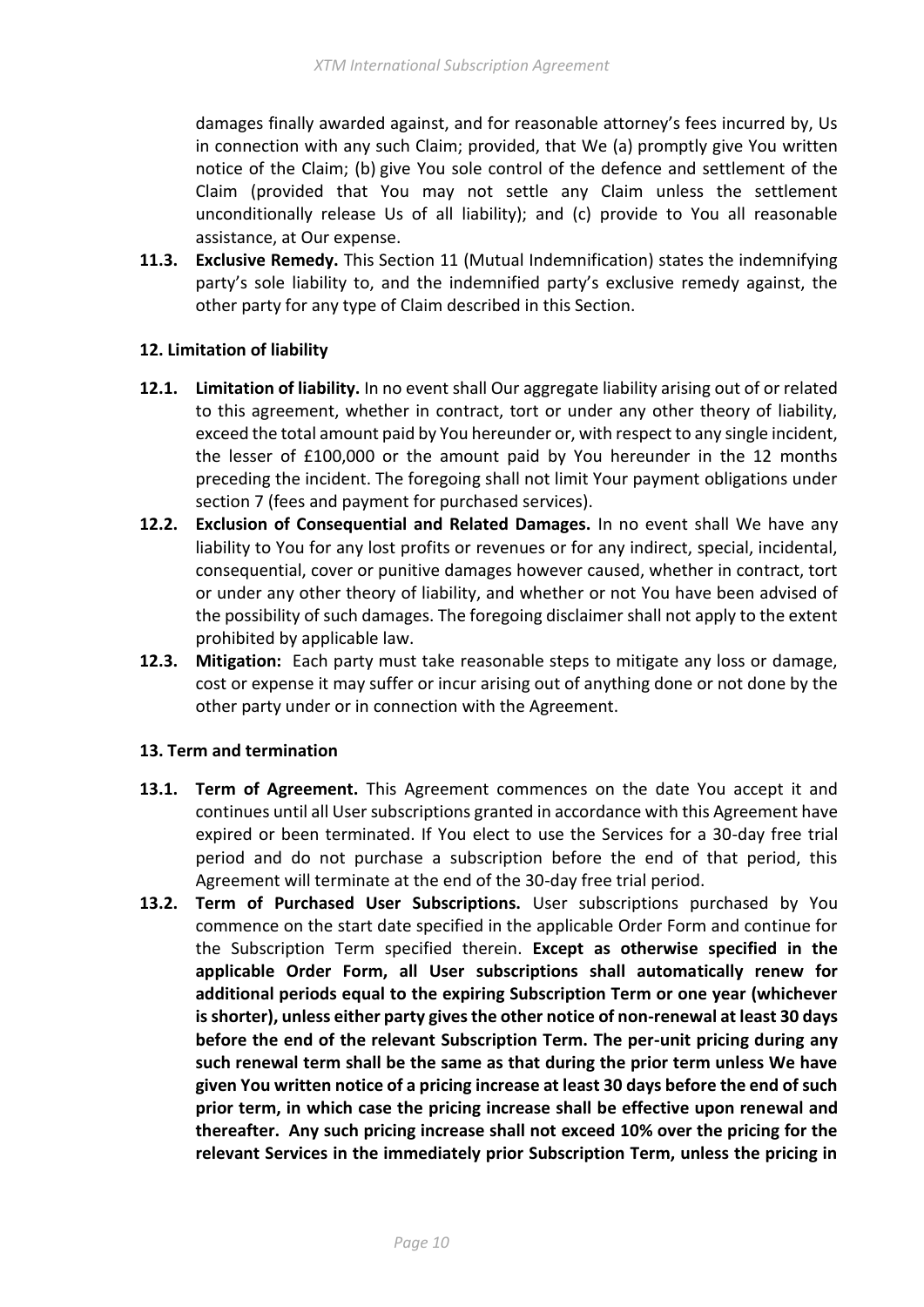damages finally awarded against, and for reasonable attorney's fees incurred by, Us in connection with any such Claim; provided, that We (a) promptly give You written notice of the Claim; (b) give You sole control of the defence and settlement of the Claim (provided that You may not settle any Claim unless the settlement unconditionally release Us of all liability); and (c) provide to You all reasonable assistance, at Our expense.

**11.3. Exclusive Remedy.** This Section 11 (Mutual Indemnification) states the indemnifying party's sole liability to, and the indemnified party's exclusive remedy against, the other party for any type of Claim described in this Section.

## <span id="page-9-0"></span>**12. Limitation of liability**

- **12.1. Limitation of liability.** In no event shall Our aggregate liability arising out of or related to this agreement, whether in contract, tort or under any other theory of liability, exceed the total amount paid by You hereunder or, with respect to any single incident, the lesser of £100,000 or the amount paid by You hereunder in the 12 months preceding the incident. The foregoing shall not limit Your payment obligations under section 7 (fees and payment for purchased services).
- **12.2. Exclusion of Consequential and Related Damages.** In no event shall We have any liability to You for any lost profits or revenues or for any indirect, special, incidental, consequential, cover or punitive damages however caused, whether in contract, tort or under any other theory of liability, and whether or not You have been advised of the possibility of such damages. The foregoing disclaimer shall not apply to the extent prohibited by applicable law.
- **12.3. Mitigation:** Each party must take reasonable steps to mitigate any loss or damage, cost or expense it may suffer or incur arising out of anything done or not done by the other party under or in connection with the Agreement.

### <span id="page-9-1"></span>**13. Term and termination**

- **13.1. Term of Agreement.** This Agreement commences on the date You accept it and continues until all User subscriptions granted in accordance with this Agreement have expired or been terminated. If You elect to use the Services for a 30-day free trial period and do not purchase a subscription before the end of that period, this Agreement will terminate at the end of the 30-day free trial period.
- **13.2. Term of Purchased User Subscriptions.** User subscriptions purchased by You commence on the start date specified in the applicable Order Form and continue for the Subscription Term specified therein. **Except as otherwise specified in the applicable Order Form, all User subscriptions shall automatically renew for additional periods equal to the expiring Subscription Term or one year (whichever is shorter), unless either party gives the other notice of non-renewal at least 30 days before the end of the relevant Subscription Term. The per-unit pricing during any such renewal term shall be the same as that during the prior term unless We have given You written notice of a pricing increase at least 30 days before the end of such prior term, in which case the pricing increase shall be effective upon renewal and thereafter. Any such pricing increase shall not exceed 10% over the pricing for the relevant Services in the immediately prior Subscription Term, unless the pricing in**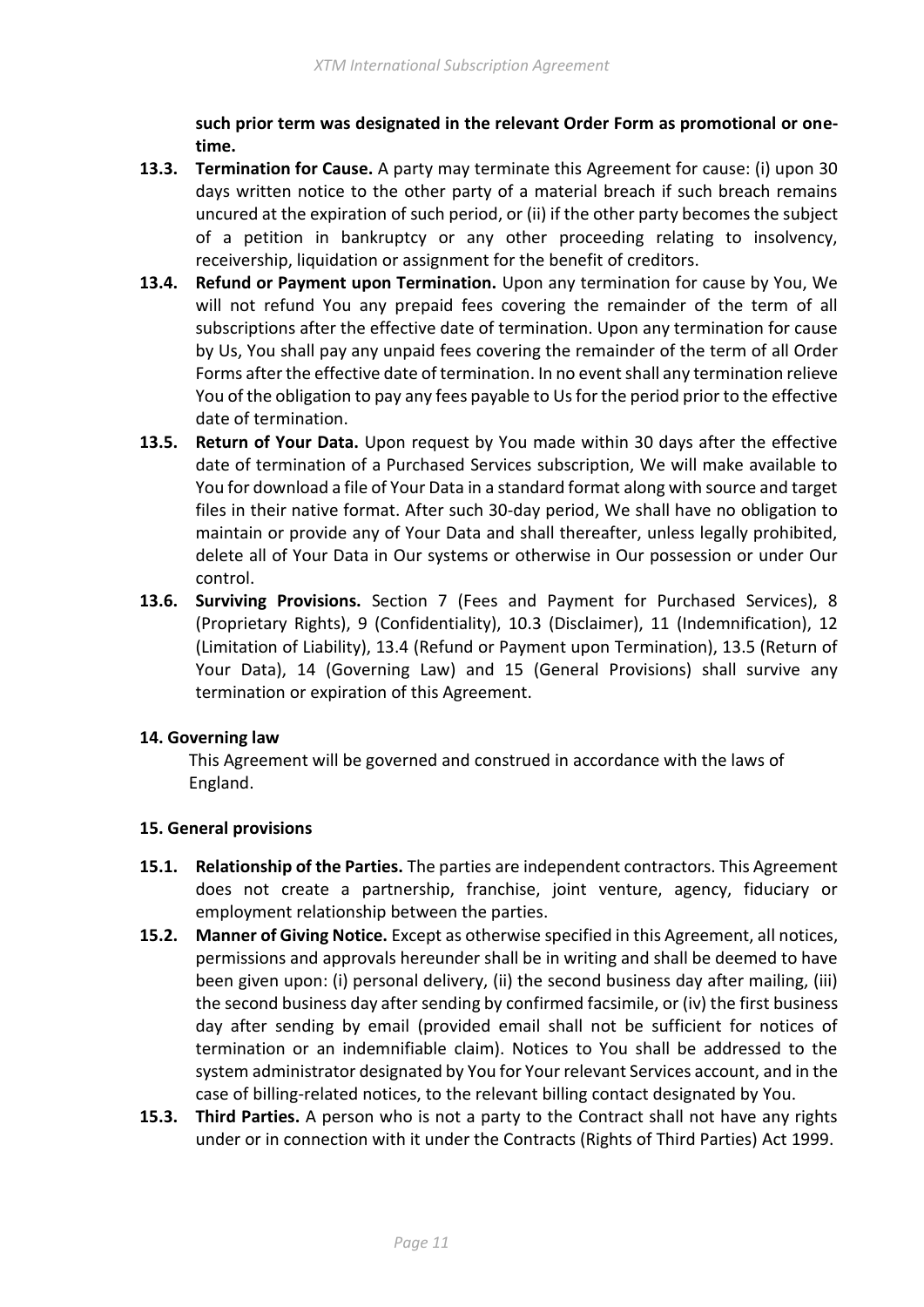**such prior term was designated in the relevant Order Form as promotional or onetime.**

- **13.3. Termination for Cause.** A party may terminate this Agreement for cause: (i) upon 30 days written notice to the other party of a material breach if such breach remains uncured at the expiration of such period, or (ii) if the other party becomes the subject of a petition in bankruptcy or any other proceeding relating to insolvency, receivership, liquidation or assignment for the benefit of creditors.
- **13.4. Refund or Payment upon Termination.** Upon any termination for cause by You, We will not refund You any prepaid fees covering the remainder of the term of all subscriptions after the effective date of termination. Upon any termination for cause by Us, You shall pay any unpaid fees covering the remainder of the term of all Order Forms after the effective date of termination. In no event shall any termination relieve You of the obligation to pay any fees payable to Us for the period prior to the effective date of termination.
- **13.5. Return of Your Data.** Upon request by You made within 30 days after the effective date of termination of a Purchased Services subscription, We will make available to You for download a file of Your Data in a standard format along with source and target files in their native format. After such 30-day period, We shall have no obligation to maintain or provide any of Your Data and shall thereafter, unless legally prohibited, delete all of Your Data in Our systems or otherwise in Our possession or under Our control.
- **13.6. Surviving Provisions.** Section 7 (Fees and Payment for Purchased Services), 8 (Proprietary Rights), 9 (Confidentiality), 10.3 (Disclaimer), 11 (Indemnification), 12 (Limitation of Liability), 13.4 (Refund or Payment upon Termination), 13.5 (Return of Your Data), 14 (Governing Law) and 15 (General Provisions) shall survive any termination or expiration of this Agreement.

### <span id="page-10-0"></span>**14. Governing law**

This Agreement will be governed and construed in accordance with the laws of England.

### <span id="page-10-1"></span>**15. General provisions**

- **15.1. Relationship of the Parties.** The parties are independent contractors. This Agreement does not create a partnership, franchise, joint venture, agency, fiduciary or employment relationship between the parties.
- **15.2. Manner of Giving Notice.** Except as otherwise specified in this Agreement, all notices, permissions and approvals hereunder shall be in writing and shall be deemed to have been given upon: (i) personal delivery, (ii) the second business day after mailing, (iii) the second business day after sending by confirmed facsimile, or (iv) the first business day after sending by email (provided email shall not be sufficient for notices of termination or an indemnifiable claim). Notices to You shall be addressed to the system administrator designated by You for Your relevant Services account, and in the case of billing-related notices, to the relevant billing contact designated by You.
- **15.3. Third Parties.** A person who is not a party to the Contract shall not have any rights under or in connection with it under the Contracts (Rights of Third Parties) Act 1999.